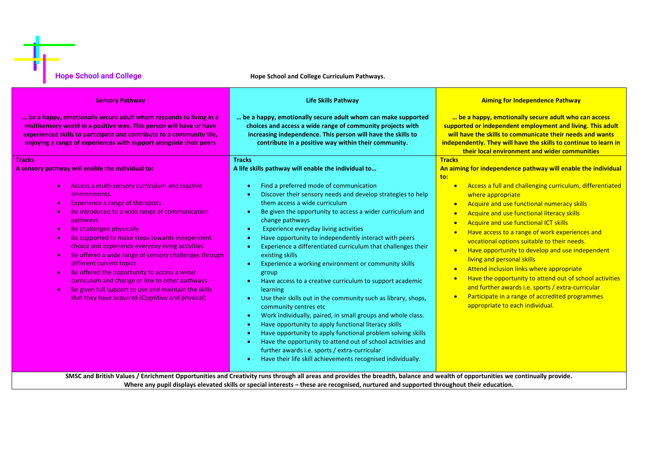| <b>Hope School and College</b>                                                                                                                                                                                                                                                                                                                                                                                                                                                                                                                                                                                                                                                  | Hope School and College Curriculum Pathways.                                                                                                                                                                                                                                                                                                                                                                                                                                                                                                                                                                                                                                                                                                                                                                                                                                                                                                                                                                                                                      |                                                                                                                                                                                                                                                                                                                                                                                                                                                                                                                                                                                                                                                                                                                                                   |  |
|---------------------------------------------------------------------------------------------------------------------------------------------------------------------------------------------------------------------------------------------------------------------------------------------------------------------------------------------------------------------------------------------------------------------------------------------------------------------------------------------------------------------------------------------------------------------------------------------------------------------------------------------------------------------------------|-------------------------------------------------------------------------------------------------------------------------------------------------------------------------------------------------------------------------------------------------------------------------------------------------------------------------------------------------------------------------------------------------------------------------------------------------------------------------------------------------------------------------------------------------------------------------------------------------------------------------------------------------------------------------------------------------------------------------------------------------------------------------------------------------------------------------------------------------------------------------------------------------------------------------------------------------------------------------------------------------------------------------------------------------------------------|---------------------------------------------------------------------------------------------------------------------------------------------------------------------------------------------------------------------------------------------------------------------------------------------------------------------------------------------------------------------------------------------------------------------------------------------------------------------------------------------------------------------------------------------------------------------------------------------------------------------------------------------------------------------------------------------------------------------------------------------------|--|
| <b>Sensory Pathway</b>                                                                                                                                                                                                                                                                                                                                                                                                                                                                                                                                                                                                                                                          | <b>Life Skills Pathway</b>                                                                                                                                                                                                                                                                                                                                                                                                                                                                                                                                                                                                                                                                                                                                                                                                                                                                                                                                                                                                                                        | <b>Aiming for Independence Pathway</b><br>be a happy, emotionally secure adult who can access<br>supported or independent employment and living. This adult<br>will have the skills to communicate their needs and wants<br>independently. They will have the skills to continue to learn in<br>their local environment and wider communities                                                                                                                                                                                                                                                                                                                                                                                                     |  |
| be a happy, emotionally secure adult whom responds to living in a<br>multisensory world in a positive way. This person will have or have<br>experienced skills to participate and contribute to a community life,<br>enjoying a range of experiences with support alongside their peers                                                                                                                                                                                                                                                                                                                                                                                         | be a happy, emotionally secure adult whom can make supported<br>choices and access a wide range of community projects with<br>increasing independence. This person will have the skills to<br>contribute in a positive way within their community.                                                                                                                                                                                                                                                                                                                                                                                                                                                                                                                                                                                                                                                                                                                                                                                                                |                                                                                                                                                                                                                                                                                                                                                                                                                                                                                                                                                                                                                                                                                                                                                   |  |
| <b>Tracks</b><br>A sensory pathway will enable the individual to:                                                                                                                                                                                                                                                                                                                                                                                                                                                                                                                                                                                                               | <b>Tracks</b><br>A life skills pathway will enable the individual to                                                                                                                                                                                                                                                                                                                                                                                                                                                                                                                                                                                                                                                                                                                                                                                                                                                                                                                                                                                              | <b>Tracks</b><br>An aiming for independence pathway will enable the individual<br>to:                                                                                                                                                                                                                                                                                                                                                                                                                                                                                                                                                                                                                                                             |  |
| Access a multi-sensory curriculum and reactive<br>environments.<br><b>Experience a range of therapists</b><br>$\bullet$<br>Be introduced to a wide range of communication<br>$\bullet$<br>pathways<br>Be challenged physically<br>$\bullet$<br>Be supported to make steps towards independent<br>$\bullet$<br>choice and experience everyday living activities<br>Be offered a wide range of sensory challenges through<br>$\bullet$<br>different current topics<br>Be offered the opportunity to access a wider<br>curriculum and change or link to other pathways<br>Be given full support to use and maintain the skills<br>that they have acquired (Cognitive and physical) | Find a preferred mode of communication<br>Discover their sensory needs and develop strategies to help<br>them access a wide curriculum<br>Be given the opportunity to access a wider curriculum and<br>$\bullet$<br>change pathways<br>Experience everyday living activities<br>٠<br>Have opportunity to independently interact with peers<br>Experience a differentiated curriculum that challenges their<br>existing skills<br>Experience a working environment or community skills<br>group<br>Have access to a creative curriculum to support academic<br>learning<br>Use their skills out in the community such as library, shops,<br>٠<br>community centres etc<br>Work individually, paired, in small groups and whole class.<br>∙<br>Have opportunity to apply functional literacy skills<br>٠<br>Have opportunity to apply functional problem solving skills<br>Have the opportunity to attend out of school activities and<br>further awards i.e. sports / extra-curricular<br>Have their life skill achievements recognised individually.<br>$\bullet$ | Access a full and challenging curriculum, differentiated<br>$\bullet$<br>where appropriate<br>Acquire and use functional numeracy skills<br>$\bullet$<br>Acquire and use functional literacy skills<br>$\bullet$<br>Acquire and use functional ICT skills<br>$\bullet$<br>Have access to a range of work experiences and<br>$\bullet$<br>vocational options suitable to their needs.<br>Have opportunity to develop and use independent<br>$\bullet$<br>living and personal skills<br>Attend inclusion links where appropriate<br>$\bullet$<br>Have the opportunity to attend out of school activities<br>and further awards i.e. sports / extra-curricular<br>Participate in a range of accredited programmes<br>appropriate to each individual. |  |

**Where any pupil displays elevated skills or special interests – these are recognised, nurtured and supported throughout their education.**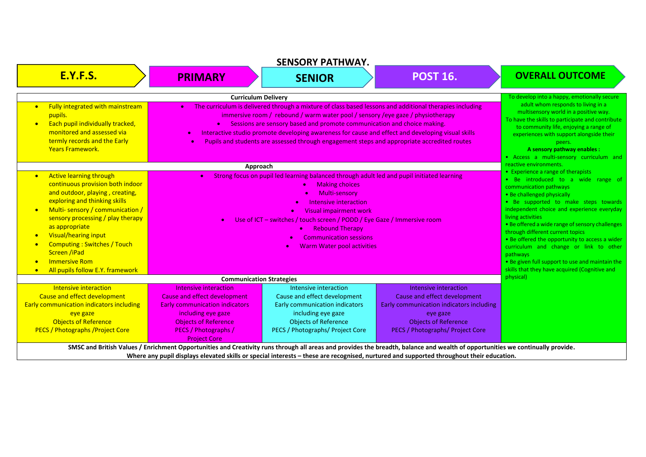| <b>SENSORY PATHWAY.</b>                                                                                                                                                                                                                                                                                                                                                                                                                                         |                                                                                                                                                                                                                                                                                                                                                                                                                                                                                                                 |                                                                                                                                                                                  |                                                                                                                                                                                                                                                                                                                            |                                                                                                                                                                                                                                                                                                                                                                                                                                                                                                                                                |
|-----------------------------------------------------------------------------------------------------------------------------------------------------------------------------------------------------------------------------------------------------------------------------------------------------------------------------------------------------------------------------------------------------------------------------------------------------------------|-----------------------------------------------------------------------------------------------------------------------------------------------------------------------------------------------------------------------------------------------------------------------------------------------------------------------------------------------------------------------------------------------------------------------------------------------------------------------------------------------------------------|----------------------------------------------------------------------------------------------------------------------------------------------------------------------------------|----------------------------------------------------------------------------------------------------------------------------------------------------------------------------------------------------------------------------------------------------------------------------------------------------------------------------|------------------------------------------------------------------------------------------------------------------------------------------------------------------------------------------------------------------------------------------------------------------------------------------------------------------------------------------------------------------------------------------------------------------------------------------------------------------------------------------------------------------------------------------------|
| <b>E.Y.F.S.</b>                                                                                                                                                                                                                                                                                                                                                                                                                                                 | <b>PRIMARY</b>                                                                                                                                                                                                                                                                                                                                                                                                                                                                                                  | <b>SENIOR</b>                                                                                                                                                                    | <b>POST 16.</b>                                                                                                                                                                                                                                                                                                            | <b>OVERALL OUTCOME</b>                                                                                                                                                                                                                                                                                                                                                                                                                                                                                                                         |
| <b>Curriculum Delivery</b>                                                                                                                                                                                                                                                                                                                                                                                                                                      |                                                                                                                                                                                                                                                                                                                                                                                                                                                                                                                 |                                                                                                                                                                                  |                                                                                                                                                                                                                                                                                                                            | To develop into a happy, emotionally secure                                                                                                                                                                                                                                                                                                                                                                                                                                                                                                    |
| Fully integrated with mainstream<br>$\bullet$<br>pupils.<br>Each pupil individually tracked,<br>$\bullet$<br>monitored and assessed via<br>termly records and the Early<br><b>Years Framework.</b>                                                                                                                                                                                                                                                              | The curriculum is delivered through a mixture of class based lessons and additional therapies including<br>$\bullet$<br>immersive room / rebound / warm water pool / sensory /eye gaze / physiotherapy<br>Sessions are sensory based and promote communication and choice making.<br>Interactive studio promote developing awareness for cause and effect and developing visual skills<br>$\bullet$<br>Pupils and students are assessed through engagement steps and appropriate accredited routes<br>$\bullet$ |                                                                                                                                                                                  |                                                                                                                                                                                                                                                                                                                            | adult whom responds to living in a<br>multisensory world in a positive way.<br>To have the skills to participate and contribute<br>to community life, enjoying a range of<br>experiences with support alongside their<br>peers.<br>A sensory pathway enables :<br>• Access a multi-sensory curriculum and                                                                                                                                                                                                                                      |
|                                                                                                                                                                                                                                                                                                                                                                                                                                                                 | Approach                                                                                                                                                                                                                                                                                                                                                                                                                                                                                                        |                                                                                                                                                                                  |                                                                                                                                                                                                                                                                                                                            | reactive environments.                                                                                                                                                                                                                                                                                                                                                                                                                                                                                                                         |
| <b>Active learning through</b><br>$\bullet$<br>continuous provision both indoor<br>and outdoor, playing, creating,<br>exploring and thinking skills<br>Multi-sensory / communication /<br>$\bullet$<br>sensory processing / play therapy<br>as appropriate<br><b>Visual/hearing input</b><br>$\bullet$<br><b>Computing: Switches / Touch</b><br>$\bullet$<br>Screen /iPad<br><b>Immersive Rom</b><br>$\bullet$<br>All pupils follow E.Y. framework<br>$\bullet$ | Strong focus on pupil led learning balanced through adult led and pupil initiated learning<br><b>Making choices</b><br>$\bullet$<br>Multi-sensory<br>Intensive interaction<br>Visual impairment work<br>Use of ICT – switches / touch screen / PODD / Eye Gaze / Immersive room<br><b>Rebound Therapy</b><br><b>Communication sessions</b><br><b>Warm Water pool activities</b>                                                                                                                                 |                                                                                                                                                                                  |                                                                                                                                                                                                                                                                                                                            | • Experience a range of therapists<br>• Be introduced to a wide range of<br>communication pathways<br>• Be challenged physically<br>• Be supported to make steps towards<br>independent choice and experience everyday<br>living activities<br>• Be offered a wide range of sensory challenges<br>through different current topics<br>• Be offered the opportunity to access a wider<br>curriculum and change or link to other<br>pathways<br>• Be given full support to use and maintain the<br>skills that they have acquired (Cognitive and |
|                                                                                                                                                                                                                                                                                                                                                                                                                                                                 | <b>Communication Strategies</b>                                                                                                                                                                                                                                                                                                                                                                                                                                                                                 |                                                                                                                                                                                  |                                                                                                                                                                                                                                                                                                                            | physical)                                                                                                                                                                                                                                                                                                                                                                                                                                                                                                                                      |
| Intensive interaction<br>Cause and effect development<br><b>Early communication indicators including</b><br>eye gaze<br><b>Objects of Reference</b><br><b>PECS / Photographs / Project Core</b>                                                                                                                                                                                                                                                                 | Intensive interaction<br>Cause and effect development<br><b>Early communication indicators</b><br>including eye gaze<br><b>Objects of Reference</b><br>PECS / Photographs /<br><b>Project Core</b>                                                                                                                                                                                                                                                                                                              | Intensive interaction<br>Cause and effect development<br>Early communication indicators<br>including eye gaze<br><b>Objects of Reference</b><br>PECS / Photographs/ Project Core | Intensive interaction<br>Cause and effect development<br>Early communication indicators including<br>eye gaze<br><b>Objects of Reference</b><br>PECS / Photographs/ Project Core                                                                                                                                           |                                                                                                                                                                                                                                                                                                                                                                                                                                                                                                                                                |
|                                                                                                                                                                                                                                                                                                                                                                                                                                                                 |                                                                                                                                                                                                                                                                                                                                                                                                                                                                                                                 |                                                                                                                                                                                  | SMSC and British Values / Enrichment Opportunities and Creativity runs through all areas and provides the breadth, balance and wealth of opportunities we continually provide.<br>Where any pupil displays elevated skills or special interests – these are recognised, nurtured and supported throughout their education. |                                                                                                                                                                                                                                                                                                                                                                                                                                                                                                                                                |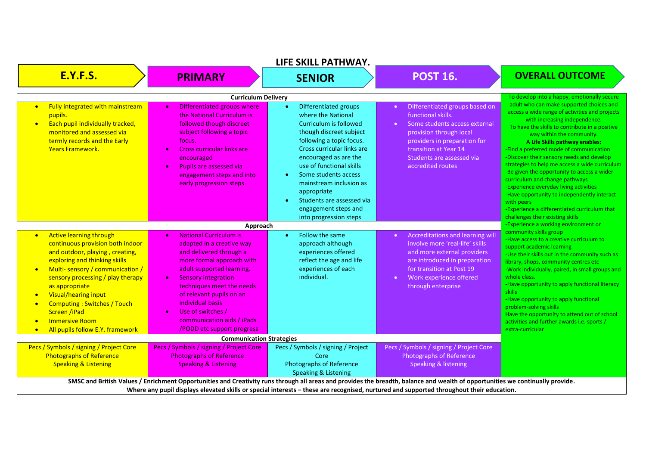| LIFE SKILL PATHWAY.                                                                                                                                                                                                                                                                                                                                                                                                                                              |                                                                                                                                                                                                                                                                                                                                                                       |                                                                                                                                                                                                                                                                                                                                                                               |                                                                                                                                                                                                                                                       |                                                                                                                                                                                                                                                                                                                                                                                                                                                                                                                                                                                                                                                                   |
|------------------------------------------------------------------------------------------------------------------------------------------------------------------------------------------------------------------------------------------------------------------------------------------------------------------------------------------------------------------------------------------------------------------------------------------------------------------|-----------------------------------------------------------------------------------------------------------------------------------------------------------------------------------------------------------------------------------------------------------------------------------------------------------------------------------------------------------------------|-------------------------------------------------------------------------------------------------------------------------------------------------------------------------------------------------------------------------------------------------------------------------------------------------------------------------------------------------------------------------------|-------------------------------------------------------------------------------------------------------------------------------------------------------------------------------------------------------------------------------------------------------|-------------------------------------------------------------------------------------------------------------------------------------------------------------------------------------------------------------------------------------------------------------------------------------------------------------------------------------------------------------------------------------------------------------------------------------------------------------------------------------------------------------------------------------------------------------------------------------------------------------------------------------------------------------------|
| <b>E.Y.F.S.</b>                                                                                                                                                                                                                                                                                                                                                                                                                                                  | <b>PRIMARY</b>                                                                                                                                                                                                                                                                                                                                                        | <b>SENIOR</b>                                                                                                                                                                                                                                                                                                                                                                 | <b>POST 16.</b>                                                                                                                                                                                                                                       | <b>OVERALL OUTCOME</b>                                                                                                                                                                                                                                                                                                                                                                                                                                                                                                                                                                                                                                            |
|                                                                                                                                                                                                                                                                                                                                                                                                                                                                  | <b>Curriculum Delivery</b>                                                                                                                                                                                                                                                                                                                                            |                                                                                                                                                                                                                                                                                                                                                                               |                                                                                                                                                                                                                                                       | To develop into a happy, emotionally secure                                                                                                                                                                                                                                                                                                                                                                                                                                                                                                                                                                                                                       |
| Fully integrated with mainstream<br>$\bullet$<br>pupils.<br>Each pupil individually tracked,<br>$\bullet$<br>monitored and assessed via<br>termly records and the Early<br><b>Years Framework.</b>                                                                                                                                                                                                                                                               | Differentiated groups where<br>$\bullet$<br>the National Curriculum is<br>followed though discreet<br>subject following a topic<br>focus.<br>Cross curricular links are<br>$\bullet$<br>encouraged<br><b>Pupils are assessed via</b><br>$\bullet$<br>engagement steps and into<br>early progression steps                                                             | Differentiated groups<br>$\bullet$<br>where the National<br>Curriculum is followed<br>though discreet subject<br>following a topic focus.<br>Cross curricular links are<br>encouraged as are the<br>use of functional skills<br>Some students access<br>mainstream inclusion as<br>appropriate<br>Students are assessed via<br>engagement steps and<br>into progression steps | Differentiated groups based on<br>$\bullet$<br>functional skills.<br>Some students access external<br>$\bullet$<br>provision through local<br>providers in preparation for<br>transition at Year 14<br>Students are assessed via<br>accredited routes | adult who can make supported choices and<br>access a wide range of activities and projects<br>with increasing independence.<br>To have the skills to contribute in a positive<br>way within the community.<br>A Life Skills pathway enables:<br>-Find a preferred mode of communication<br>Discover their sensory needs and develop<br>strategies to help me access a wide curriculum<br>-Be given the opportunity to access a wider<br>curriculum and change pathways<br>-Experience everyday living activities<br>-Have opportunity to independently interact<br>with peers<br>-Experience a differentiated curriculum that<br>challenges their existing skills |
|                                                                                                                                                                                                                                                                                                                                                                                                                                                                  | Approach                                                                                                                                                                                                                                                                                                                                                              |                                                                                                                                                                                                                                                                                                                                                                               |                                                                                                                                                                                                                                                       | -Experience a working environment or                                                                                                                                                                                                                                                                                                                                                                                                                                                                                                                                                                                                                              |
| <b>Active learning through</b><br>$\bullet$<br>continuous provision both indoor<br>and outdoor, playing, creating,<br>exploring and thinking skills<br>Multi-sensory / communication /<br>$\bullet$<br>sensory processing / play therapy<br>as appropriate<br>Visual/hearing input<br>$\bullet$<br><b>Computing: Switches / Touch</b><br>$\bullet$<br><b>Screen /iPad</b><br><b>Immersive Room</b><br>$\bullet$<br>All pupils follow E.Y. framework<br>$\bullet$ | <b>National Curriculum is</b><br>$\bullet$<br>adapted in a creative way<br>and delivered through a<br>more formal approach with<br>adult supported learning.<br><b>Sensory integration</b><br>$\bullet$<br>techniques meet the needs<br>of relevant pupils on an<br>individual basis<br>Use of switches /<br>communication aids / iPads<br>/PODD etc support progress | Follow the same<br>$\bullet$<br>approach although<br>experiences offered<br>reflect the age and life<br>experiences of each<br>individual.                                                                                                                                                                                                                                    | Accreditations and learning will<br>$\bullet$<br>involve more 'real-life' skills<br>and more external providers<br>are introduced in preparation<br>for transition at Post 19<br>Work experience offered<br>$\bullet$ .<br>through enterprise         | community skills group<br>-Have access to a creative curriculum to<br>support academic learning<br>-Use their skills out in the community such as<br>library, shops, community centres etc<br>-Work individually, paired, in small groups and<br>whole class.<br>-Have opportunity to apply functional literacy<br><b>skills</b><br>-Have opportunity to apply functional<br>problem-solving skills<br>Have the opportunity to attend out of school<br>activities and further awards i.e. sports /<br>extra-curricular                                                                                                                                            |
|                                                                                                                                                                                                                                                                                                                                                                                                                                                                  | <b>Communication Strategies</b>                                                                                                                                                                                                                                                                                                                                       |                                                                                                                                                                                                                                                                                                                                                                               |                                                                                                                                                                                                                                                       |                                                                                                                                                                                                                                                                                                                                                                                                                                                                                                                                                                                                                                                                   |
| Pecs / Symbols / signing / Project Core<br><b>Photographs of Reference</b><br><b>Speaking &amp; Listening</b>                                                                                                                                                                                                                                                                                                                                                    | Pecs / Symbols / signing / Project Core<br><b>Photographs of Reference</b><br><b>Speaking &amp; Listening</b>                                                                                                                                                                                                                                                         | Pecs / Symbols / signing / Project<br>Core<br><b>Photographs of Reference</b><br>Speaking & Listening                                                                                                                                                                                                                                                                         | Pecs / Symbols / signing / Project Core<br><b>Photographs of Reference</b><br><b>Speaking &amp; listening</b>                                                                                                                                         |                                                                                                                                                                                                                                                                                                                                                                                                                                                                                                                                                                                                                                                                   |
| SMSC and British Values / Enrichment Opportunities and Creativity runs through all areas and provides the breadth, balance and wealth of opportunities we continually provide.<br>Where any pupil displays elevated skills or special interests - these are recognised, nurtured and supported throughout their education.                                                                                                                                       |                                                                                                                                                                                                                                                                                                                                                                       |                                                                                                                                                                                                                                                                                                                                                                               |                                                                                                                                                                                                                                                       |                                                                                                                                                                                                                                                                                                                                                                                                                                                                                                                                                                                                                                                                   |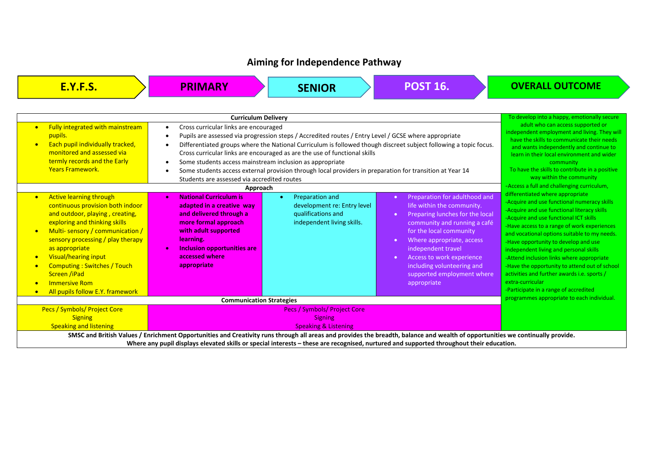## **Aiming for Independence Pathway**

| <b>E.Y.F.S.</b>                                                                                                                                                                                                                                                                                                                                                 | <b>PRIMARY</b>                                                                                                                                                                                                                                                                                                                         | <b>SENIOR</b>                                                                                                                                                                                                                                                                                                                                                | <b>POST 16.</b>                                                                                                                                                                                                                                                                                                            | <b>OVERALL OUTCOME</b>                                                                                                                                                                                                                                                                                                                                                                                                                                                                              |
|-----------------------------------------------------------------------------------------------------------------------------------------------------------------------------------------------------------------------------------------------------------------------------------------------------------------------------------------------------------------|----------------------------------------------------------------------------------------------------------------------------------------------------------------------------------------------------------------------------------------------------------------------------------------------------------------------------------------|--------------------------------------------------------------------------------------------------------------------------------------------------------------------------------------------------------------------------------------------------------------------------------------------------------------------------------------------------------------|----------------------------------------------------------------------------------------------------------------------------------------------------------------------------------------------------------------------------------------------------------------------------------------------------------------------------|-----------------------------------------------------------------------------------------------------------------------------------------------------------------------------------------------------------------------------------------------------------------------------------------------------------------------------------------------------------------------------------------------------------------------------------------------------------------------------------------------------|
| Fully integrated with mainstream<br>$\bullet$<br>pupils.<br>Each pupil individually tracked,<br>$\bullet$<br>monitored and assessed via<br>termly records and the Early<br><b>Years Framework.</b><br><b>Active learning through</b><br>$\bullet$<br>continuous provision both indoor                                                                           | <b>Curriculum Delivery</b><br>Cross curricular links are encouraged<br>$\bullet$<br>$\bullet$<br>$\bullet$<br>Some students access mainstream inclusion as appropriate<br>$\bullet$<br>$\bullet$<br>Students are assessed via accredited routes<br>Approach<br><b>National Curriculum is</b><br>$\bullet$<br>adapted in a creative way | Pupils are assessed via progression steps / Accredited routes / Entry Level / GCSE where appropriate<br>Cross curricular links are encouraged as are the use of functional skills<br>Some students access external provision through local providers in preparation for transition at Year 14<br>Preparation and<br>$\bullet$<br>development re: Entry level | Differentiated groups where the National Curriculum is followed though discreet subject following a topic focus.<br>Preparation for adulthood and<br>$\bullet$<br>life within the community.                                                                                                                               | To develop into a happy, emotionally secure<br>adult who can access supported or<br>independent employment and living. They will<br>have the skills to communicate their needs<br>and wants independently and continue to<br>learn in their local environment and wider<br>community<br>To have the skills to contribute in a positive<br>way within the community<br>-Access a full and challenging curriculum,<br>differentiated where appropriate<br>-Acquire and use functional numeracy skills |
| and outdoor, playing, creating,<br>exploring and thinking skills<br>Multi-sensory / communication /<br>$\bullet$<br>sensory processing / play therapy<br>as appropriate<br><b>Visual/hearing input</b><br>$\bullet$<br><b>Computing: Switches / Touch</b><br>Screen /iPad<br><b>Immersive Rom</b><br>$\bullet$<br>All pupils follow E.Y. framework<br>$\bullet$ | and delivered through a<br>more formal approach<br>with adult supported<br>learning.<br>Inclusion opportunities are<br>accessed where<br>appropriate                                                                                                                                                                                   | qualifications and<br>independent living skills.                                                                                                                                                                                                                                                                                                             | Preparing lunches for the local<br>$\bullet$<br>community and running a café<br>for the local community<br>Where appropriate, access<br>$\bullet$<br>independent travel<br>Access to work experience<br>$\bullet$<br>including volunteering and<br>supported employment where<br>appropriate                               | -Acquire and use functional literacy skills<br>-Acquire and use functional ICT skills<br>-Have access to a range of work experiences<br>and vocational options suitable to my needs.<br>-Have opportunity to develop and use<br>independent living and personal skills<br>-Attend inclusion links where appropriate<br>-Have the opportunity to attend out of school<br>activities and further awards i.e. sports /<br>extra-curricular<br>-Participate in a range of accredited                    |
| <b>Communication Strategies</b>                                                                                                                                                                                                                                                                                                                                 |                                                                                                                                                                                                                                                                                                                                        |                                                                                                                                                                                                                                                                                                                                                              | programmes appropriate to each individual.                                                                                                                                                                                                                                                                                 |                                                                                                                                                                                                                                                                                                                                                                                                                                                                                                     |
| Pecs / Symbols/ Project Core<br><b>Signing</b><br><b>Speaking and listening</b>                                                                                                                                                                                                                                                                                 |                                                                                                                                                                                                                                                                                                                                        | Pecs / Symbols/ Project Core<br><b>Signing</b><br><b>Speaking &amp; Listening</b>                                                                                                                                                                                                                                                                            |                                                                                                                                                                                                                                                                                                                            |                                                                                                                                                                                                                                                                                                                                                                                                                                                                                                     |
|                                                                                                                                                                                                                                                                                                                                                                 |                                                                                                                                                                                                                                                                                                                                        |                                                                                                                                                                                                                                                                                                                                                              | SMSC and British Values / Enrichment Opportunities and Creativity runs through all areas and provides the breadth, balance and wealth of opportunities we continually provide.<br>Where any pupil displays elevated skills or special interests - these are recognised, nurtured and supported throughout their education. |                                                                                                                                                                                                                                                                                                                                                                                                                                                                                                     |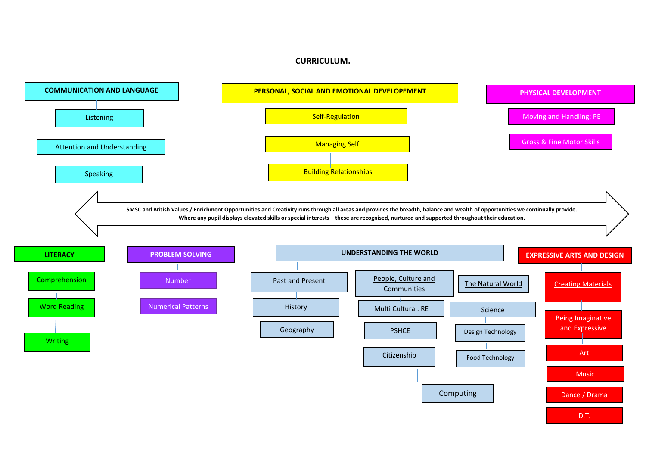## **CURRICULUM.**



 $\overline{\phantom{0}}$